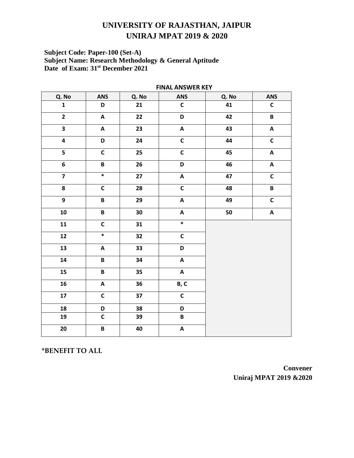# Subject Code: Paper-100 (Set-A)<br>Subject Name: Research Methodology & General Aptitude<br>Date of Exam: 31<sup>st</sup> December 2021

| <b>I INAL ANJWEN RET</b> |                           |                 |                           |       |                           |  |
|--------------------------|---------------------------|-----------------|---------------------------|-------|---------------------------|--|
| Q. No                    | <b>ANS</b>                | Q. No           | ANS                       | Q. No | <b>ANS</b>                |  |
| $\mathbf{1}$             | D                         | 21              | $\mathsf{C}$              | 41    | $\mathsf{C}$              |  |
| $\overline{2}$           | $\boldsymbol{\mathsf{A}}$ | 22              | D                         | 42    | $\pmb B$                  |  |
| $\overline{\mathbf{3}}$  | $\boldsymbol{\mathsf{A}}$ | 23              | $\boldsymbol{\mathsf{A}}$ | 43    | $\boldsymbol{\mathsf{A}}$ |  |
| $\overline{\mathbf{4}}$  | $\overline{\mathsf{D}}$   | 24              | $\overline{\mathsf{c}}$   | 44    | $\overline{\mathsf{c}}$   |  |
| 5                        | $\mathsf{C}$              | 25              | $\mathsf{C}$              | 45    | $\pmb{\mathsf{A}}$        |  |
| $\overline{\mathbf{6}}$  | $\pmb B$                  | 26              | D                         | 46    | $\boldsymbol{\mathsf{A}}$ |  |
|                          | $\ast$                    | $\overline{27}$ | $\overline{\mathbf{A}}$   | 47    | $\overline{\mathsf{C}}$   |  |
| $\overline{\mathbf{8}}$  | $\overline{\mathsf{c}}$   | $\overline{28}$ | $\overline{\mathsf{c}}$   | 48    | $\overline{\mathsf{B}}$   |  |
| $\overline{9}$           | $\overline{\mathbf{B}}$   | 29              | $\boldsymbol{\mathsf{A}}$ | 49    | $\overline{\mathsf{c}}$   |  |
| ${\bf 10}$               | $\pmb B$                  | 30              | $\boldsymbol{\mathsf{A}}$ | 50    | $\boldsymbol{\mathsf{A}}$ |  |
| 11                       | $\overline{\mathsf{c}}$   | 31              | $\ast$                    |       |                           |  |
| $\boldsymbol{12}$        | $\ast$                    | 32              | $\mathsf{C}$              |       |                           |  |
| 13                       | $\pmb{\mathsf{A}}$        | 33              | D                         |       |                           |  |
| 14                       | $\overline{\mathbf{B}}$   | 34              | $\boldsymbol{\mathsf{A}}$ |       |                           |  |
| 15                       | $\, {\bf B} \,$           | 35              | $\boldsymbol{\mathsf{A}}$ |       |                           |  |
| 16                       | $\boldsymbol{\mathsf{A}}$ | 36              | B, C                      |       |                           |  |
| ${\bf 17}$               | $\mathsf{C}$              | 37              | $\mathsf{C}$              |       |                           |  |
| 18                       | D                         | 38              | D                         |       |                           |  |
| 19                       | $\mathsf{C}$              | 39              | $\pmb B$                  |       |                           |  |
| 20                       | $\overline{\mathbf{B}}$   | 40              | $\boldsymbol{\mathsf{A}}$ |       |                           |  |

**FINAL ANSWER KEY** 

\*BENEFIT TO ALL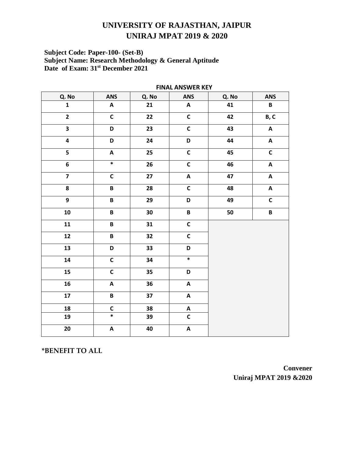# Subject Code: Paper-100- (Set-B)<br>Subject Name: Research Methodology & General Aptitude<br>Date of Exam: 31<sup>st</sup> December 2021

| .                       |                           |        |                           |       |                           |  |
|-------------------------|---------------------------|--------|---------------------------|-------|---------------------------|--|
| Q. No                   | <b>ANS</b>                | Q. No  | ANS                       | Q. No | <b>ANS</b>                |  |
| $\mathbf{1}$            | $\boldsymbol{\mathsf{A}}$ | 21     | $\boldsymbol{\mathsf{A}}$ | 41    | $\, {\bf B} \,$           |  |
| $\overline{\mathbf{2}}$ | $\overline{c}$            | 22     | $\overline{c}$            | 42    | B, C                      |  |
| $\overline{\mathbf{3}}$ | D                         | 23     | $\mathsf{C}$              | 43    | $\boldsymbol{\mathsf{A}}$ |  |
| $\overline{\mathbf{4}}$ | D                         | 24     | D                         | 44    | $\boldsymbol{\mathsf{A}}$ |  |
| 5                       | $\boldsymbol{\mathsf{A}}$ | 25     | $\mathsf{C}$              | 45    | $\overline{\mathsf{C}}$   |  |
| $\bf 6$                 | $\ast$                    | 26     | $\mathsf{C}$              | 46    | $\boldsymbol{\mathsf{A}}$ |  |
| $\overline{\mathbf{z}}$ | $\mathsf{C}$              | 27     | $\boldsymbol{\mathsf{A}}$ | 47    | $\boldsymbol{\mathsf{A}}$ |  |
| $\overline{\mathbf{8}}$ | $\, {\bf B} \,$           | 28     | $\overline{\mathsf{c}}$   | 48    | $\boldsymbol{\mathsf{A}}$ |  |
| $\overline{9}$          | $\, {\bf B} \,$           | 29     | D                         | 49    | $\mathsf{C}$              |  |
| 10                      | $\, {\bf B} \,$           | $30\,$ | B                         | 50    | B                         |  |
| 11                      | $\pmb B$                  | 31     | $\mathsf{C}$              |       |                           |  |
| $\boldsymbol{12}$       | $\pmb B$                  | 32     | $\mathsf{C}$              |       |                           |  |
| 13                      | D                         | 33     | D                         |       |                           |  |
| 14                      | $\mathsf{C}$              | 34     | $\ast$                    |       |                           |  |
| 15                      | $\mathsf C$               | 35     | D                         |       |                           |  |
| 16                      | $\boldsymbol{\mathsf{A}}$ | 36     | $\boldsymbol{\mathsf{A}}$ |       |                           |  |
| ${\bf 17}$              | $\, {\bf B} \,$           | 37     | $\boldsymbol{\mathsf{A}}$ |       |                           |  |
| 18                      | $\mathsf{C}$              | 38     | $\boldsymbol{\mathsf{A}}$ |       |                           |  |
| 19                      | $\ast$                    | 39     | $\mathsf{C}$              |       |                           |  |
| ${\bf 20}$              | $\boldsymbol{\mathsf{A}}$ | 40     | $\boldsymbol{\mathsf{A}}$ |       |                           |  |

**FINAL ANSWER KFY** 

\*BENEFIT TO ALL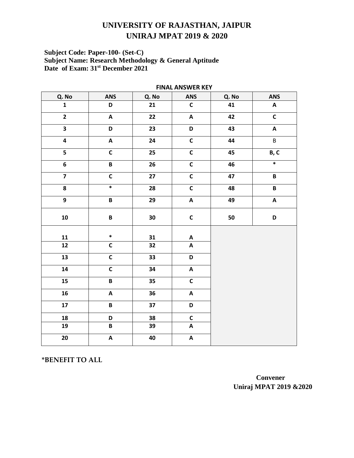# Subject Code: Paper-100- (Set-C)<br>Subject Name: Research Methodology & General Aptitude<br>Date of Exam: 31<sup>st</sup> December 2021

| <b>I IIAN WASARED BET</b> |                           |        |                           |       |                           |
|---------------------------|---------------------------|--------|---------------------------|-------|---------------------------|
| Q. No                     | <b>ANS</b>                | Q. No  | <b>ANS</b>                | Q. No | <b>ANS</b>                |
| $\mathbf{1}$              | D                         | 21     | $\mathsf{C}$              | 41    | $\boldsymbol{\mathsf{A}}$ |
| $\overline{2}$            | $\boldsymbol{\mathsf{A}}$ | 22     | $\boldsymbol{\mathsf{A}}$ | 42    | $\overline{\mathsf{c}}$   |
| $\overline{\mathbf{3}}$   | D                         | 23     | D                         | 43    | $\boldsymbol{\mathsf{A}}$ |
| $\overline{4}$            | $\boldsymbol{\mathsf{A}}$ | 24     | $\overline{\mathsf{c}}$   | 44    | $\overline{B}$            |
| $\overline{\mathbf{5}}$   | $\mathsf C$               | 25     | $\mathsf{C}$              | 45    | B, C                      |
| $\overline{\mathbf{6}}$   | $\overline{\mathbf{B}}$   | 26     | $\overline{\mathsf{C}}$   | 46    | $\ast$                    |
| $\overline{\mathbf{z}}$   | $\mathbf C$               | 27     | $\overline{c}$            | 47    | $\, {\bf B} \,$           |
| $\overline{\mathbf{8}}$   | $\overline{\ast}$         | 28     | $\overline{\mathsf{c}}$   | 48    | $\pmb B$                  |
| $\overline{9}$            | $\overline{\mathbf{B}}$   | 29     | $\overline{A}$            | 49    | $\overline{A}$            |
| ${\bf 10}$                | $\pmb B$                  | $30\,$ | $\mathsf{C}$              | 50    | D                         |
| 11                        | $\ast$                    | 31     | $\boldsymbol{\mathsf{A}}$ |       |                           |
| $12$                      | $\overline{\mathsf{c}}$   | 32     | $\boldsymbol{\mathsf{A}}$ |       |                           |
| 13                        | $\overline{c}$            | 33     | D                         |       |                           |
| 14                        | $\overline{c}$            | 34     | $\boldsymbol{\mathsf{A}}$ |       |                           |
| 15                        | $\overline{\mathbf{B}}$   | 35     | $\overline{\mathsf{c}}$   |       |                           |
| 16                        | $\boldsymbol{\mathsf{A}}$ | 36     | $\boldsymbol{\mathsf{A}}$ |       |                           |
| $17\,$                    | $\pmb B$                  | 37     | D                         |       |                           |
| 18                        | D                         | 38     | $\mathsf{C}$              |       |                           |
| 19                        | $\overline{\mathbf{B}}$   | 39     | $\overline{\mathbf{A}}$   |       |                           |
| 20                        | $\boldsymbol{\mathsf{A}}$ | 40     | $\boldsymbol{\mathsf{A}}$ |       |                           |

**FINAL ANSWER KEY** 

\*BENEFIT TO ALL